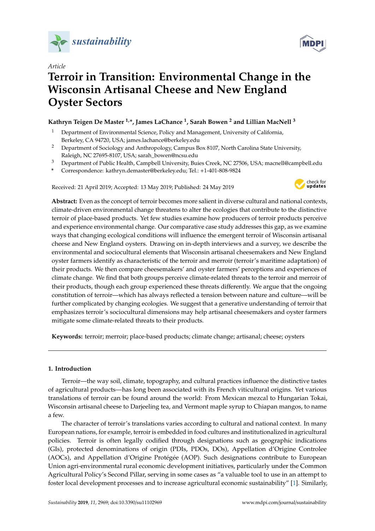

*Article*

# **Terroir in Transition: Environmental Change in the Wisconsin Artisanal Cheese and New England Oyster Sectors**

## **Kathryn Teigen De Master 1,\*, James LaChance <sup>1</sup> , Sarah Bowen <sup>2</sup> and Lillian MacNell <sup>3</sup>**

- <sup>1</sup> Department of Environmental Science, Policy and Management, University of California, Berkeley, CA 94720, USA; james.lachance@berkeley.edu
- <sup>2</sup> Department of Sociology and Anthropology, Campus Box 8107, North Carolina State University, Raleigh, NC 27695-8107, USA; sarah\_bowen@ncsu.edu
- <sup>3</sup> Department of Public Health, Campbell University, Buies Creek, NC 27506, USA; macnell@campbell.edu
- **\*** Correspondence: kathryn.demaster@berkeley.edu; Tel.: +1-401-808-9824

Received: 21 April 2019; Accepted: 13 May 2019; Published: 24 May 2019



**Abstract:** Even as the concept of terroir becomes more salient in diverse cultural and national contexts, climate-driven environmental change threatens to alter the ecologies that contribute to the distinctive terroir of place-based products. Yet few studies examine how producers of terroir products perceive and experience environmental change. Our comparative case study addresses this gap, as we examine ways that changing ecological conditions will influence the emergent terroir of Wisconsin artisanal cheese and New England oysters. Drawing on in-depth interviews and a survey, we describe the environmental and sociocultural elements that Wisconsin artisanal cheesemakers and New England oyster farmers identify as characteristic of the terroir and merroir (terroir's maritime adaptation) of their products. We then compare cheesemakers' and oyster farmers' perceptions and experiences of climate change. We find that both groups perceive climate-related threats to the terroir and merroir of their products, though each group experienced these threats differently. We argue that the ongoing constitution of terroir—which has always reflected a tension between nature and culture—will be further complicated by changing ecologies. We suggest that a generative understanding of terroir that emphasizes terroir's sociocultural dimensions may help artisanal cheesemakers and oyster farmers mitigate some climate-related threats to their products.

**Keywords:** terroir; merroir; place-based products; climate change; artisanal; cheese; oysters

## **1. Introduction**

Terroir—the way soil, climate, topography, and cultural practices influence the distinctive tastes of agricultural products—has long been associated with its French viticultural origins. Yet various translations of terroir can be found around the world: From Mexican mezcal to Hungarian Tokai, Wisconsin artisanal cheese to Darjeeling tea, and Vermont maple syrup to Chiapan mangos, to name a few.

The character of terroir's translations varies according to cultural and national context. In many European nations, for example, terroir is embedded in food cultures and institutionalized in agricultural policies. Terroir is often legally codified through designations such as geographic indications (GIs), protected denominations of origin (PDIs, PDOs, DOs), Appellation d'Origine Controlee (AOCs), and Appellation d'Origine Protégée (AOP). Such designations contribute to European Union agri-environmental rural economic development initiatives, particularly under the Common Agricultural Policy's Second Pillar, serving in some cases as "a valuable tool to use in an attempt to foster local development processes and to increase agricultural economic sustainability" [\[1\]](#page-18-0). Similarly,

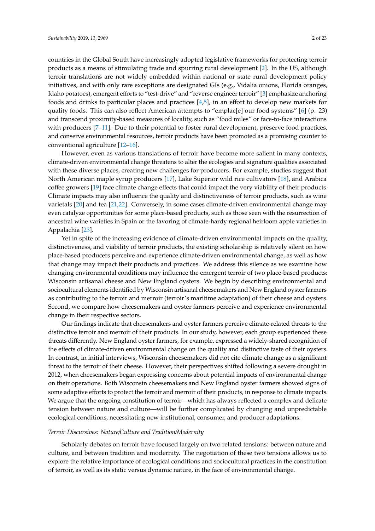countries in the Global South have increasingly adopted legislative frameworks for protecting terroir products as a means of stimulating trade and spurring rural development [\[2\]](#page-18-1). In the US, although terroir translations are not widely embedded within national or state rural development policy initiatives, and with only rare exceptions are designated GIs (e.g., Vidalia onions, Florida oranges, Idaho potatoes), emergent efforts to "test-drive" and "reverse engineer terroir" [\[3\]](#page-18-2) emphasize anchoring foods and drinks to particular places and practices [\[4](#page-18-3)[,5\]](#page-18-4), in an effort to develop new markets for quality foods. This can also reflect American attempts to "emplac[e] our food systems" [\[6\]](#page-18-5) (p. 23) and transcend proximity-based measures of locality, such as "food miles" or face-to-face interactions with producers [\[7](#page-18-6)[–11\]](#page-18-7). Due to their potential to foster rural development, preserve food practices, and conserve environmental resources, terroir products have been promoted as a promising counter to conventional agriculture [\[12](#page-18-8)[–16\]](#page-18-9).

However, even as various translations of terroir have become more salient in many contexts, climate-driven environmental change threatens to alter the ecologies and signature qualities associated with these diverse places, creating new challenges for producers. For example, studies suggest that North American maple syrup producers [\[17\]](#page-18-10), Lake Superior wild rice cultivators [\[18\]](#page-19-0), and Arabica coffee growers [\[19\]](#page-19-1) face climate change effects that could impact the very viability of their products. Climate impacts may also influence the quality and distinctiveness of terroir products, such as wine varietals [\[20\]](#page-19-2) and tea [\[21,](#page-19-3)[22\]](#page-19-4). Conversely, in some cases climate-driven environmental change may even catalyze opportunities for some place-based products, such as those seen with the resurrection of ancestral wine varieties in Spain or the favoring of climate-hardy regional heirloom apple varieties in Appalachia [\[23\]](#page-19-5).

Yet in spite of the increasing evidence of climate-driven environmental impacts on the quality, distinctiveness, and viability of terroir products, the existing scholarship is relatively silent on how place-based producers perceive and experience climate-driven environmental change, as well as how that change may impact their products and practices. We address this silence as we examine how changing environmental conditions may influence the emergent terroir of two place-based products: Wisconsin artisanal cheese and New England oysters. We begin by describing environmental and sociocultural elements identified by Wisconsin artisanal cheesemakers and New England oyster farmers as contributing to the terroir and merroir (terroir's maritime adaptation) of their cheese and oysters. Second, we compare how cheesemakers and oyster farmers perceive and experience environmental change in their respective sectors.

Our findings indicate that cheesemakers and oyster farmers perceive climate-related threats to the distinctive terroir and merroir of their products. In our study, however, each group experienced these threats differently. New England oyster farmers, for example, expressed a widely-shared recognition of the effects of climate-driven environmental change on the quality and distinctive taste of their oysters. In contrast, in initial interviews, Wisconsin cheesemakers did not cite climate change as a significant threat to the terroir of their cheese. However, their perspectives shifted following a severe drought in 2012, when cheesemakers began expressing concerns about potential impacts of environmental change on their operations. Both Wisconsin cheesemakers and New England oyster farmers showed signs of some adaptive efforts to protect the terroir and merroir of their products, in response to climate impacts. We argue that the ongoing constitution of terroir—which has always reflected a complex and delicate tension between nature and culture—will be further complicated by changing and unpredictable ecological conditions, necessitating new institutional, consumer, and producer adaptations.

#### *Terroir Discursives: Nature*/*Culture and Tradition*/*Modernity*

Scholarly debates on terroir have focused largely on two related tensions: between nature and culture, and between tradition and modernity. The negotiation of these two tensions allows us to explore the relative importance of ecological conditions and sociocultural practices in the constitution of terroir, as well as its static versus dynamic nature, in the face of environmental change.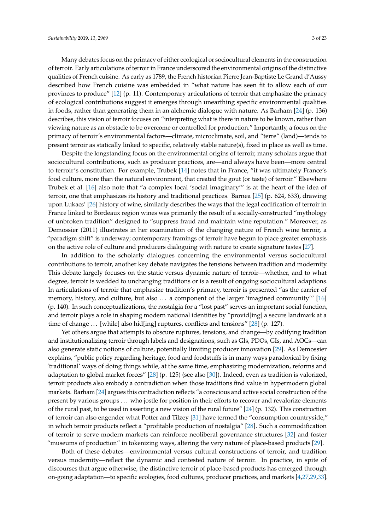Many debates focus on the primacy of either ecological or sociocultural elements in the construction of terroir. Early articulations of terroir in France underscored the environmental origins of the distinctive qualities of French cuisine. As early as 1789, the French historian Pierre Jean-Baptiste Le Grand d'Aussy described how French cuisine was embedded in "what nature has seen fit to allow each of our provinces to produce" [\[12\]](#page-18-8) (p. 11). Contemporary articulations of terroir that emphasize the primacy of ecological contributions suggest it emerges through unearthing specific environmental qualities in foods, rather than generating them in an alchemic dialogue with nature. As Barham [\[24\]](#page-19-6) (p. 136) describes, this vision of terroir focuses on "interpreting what is there in nature to be known, rather than viewing nature as an obstacle to be overcome or controlled for production." Importantly, a focus on the primacy of terroir's environmental factors—climate, microclimate, soil, and "terre" (land)—tends to present terroir as statically linked to specific, relatively stable nature(s), fixed in place as well as time.

Despite the longstanding focus on the environmental origins of terroir, many scholars argue that sociocultural contributions, such as producer practices, are—and always have been—more central to terroir's constitution. For example, Trubek [\[14\]](#page-18-11) notes that in France, "it was ultimately France's food culture, more than the natural environment, that created the gout (or taste) of terroir." Elsewhere Trubek et al. [\[16\]](#page-18-9) also note that "a complex local 'social imaginary'" is at the heart of the idea of terroir, one that emphasizes its history and traditional practices. Barnea [\[25\]](#page-19-7) (p. 624, 633), drawing upon Lukacs' [\[26\]](#page-19-8) history of wine, similarly describes the ways that the legal codification of terroir in France linked to Bordeaux region wines was primarily the result of a socially-constructed "mythology of unbroken tradition" designed to "suppress fraud and maintain wine reputation." Moreover, as Demossier (2011) illustrates in her examination of the changing nature of French wine terroir, a "paradigm shift" is underway; contemporary framings of terroir have begun to place greater emphasis on the active role of culture and producers dialoguing with nature to create signature tastes [\[27\]](#page-19-9).

In addition to the scholarly dialogues concerning the environmental versus sociocultural contributions to terroir, another key debate navigates the tensions between tradition and modernity. This debate largely focuses on the static versus dynamic nature of terroir—whether, and to what degree, terroir is wedded to unchanging traditions or is a result of ongoing sociocultural adaptions. In articulations of terroir that emphasize tradition's primacy, terroir is presented "as the carrier of memory, history, and culture, but also ... a component of the larger 'imagined community'" [\[16\]](#page-18-9) (p. 140). In such conceptualizations, the nostalgia for a "lost past" serves an important social function, and terroir plays a role in shaping modern national identities by "provid[ing] a secure landmark at a time of change . . . [while] also hid[ing] ruptures, conflicts and tensions" [\[28\]](#page-19-10) (p. 127).

Yet others argue that attempts to obscure ruptures, tensions, and change—by codifying tradition and institutionalizing terroir through labels and designations, such as GIs, PDOs, GIs, and AOCs—can also generate static notions of culture, potentially limiting producer innovation [\[29\]](#page-19-11). As Demossier explains, "public policy regarding heritage, food and foodstuffs is in many ways paradoxical by fixing 'traditional' ways of doing things while, at the same time, emphasizing modernization, reforms and adaptation to global market forces" [\[28\]](#page-19-10) (p. 125) (see also [\[30\]](#page-19-12)). Indeed, even as tradition is valorized, terroir products also embody a contradiction when those traditions find value in hypermodern global markets. Barham [\[24\]](#page-19-6) argues this contradiction reflects "a conscious and active social construction of the present by various groups . . . who jostle for position in their efforts to recover and revalorize elements of the rural past, to be used in asserting a new vision of the rural future" [\[24\]](#page-19-6) (p. 132). This construction of terroir can also engender what Potter and Tilzey [\[31\]](#page-19-13) have termed the "consumption countryside," in which terroir products reflect a "profitable production of nostalgia" [\[28\]](#page-19-10). Such a commodification of terroir to serve modern markets can reinforce neoliberal governance structures [\[32\]](#page-19-14) and foster "museums of production" in tokenizing ways, altering the very nature of place-based products [\[29\]](#page-19-11).

Both of these debates—environmental versus cultural constructions of terroir, and tradition versus modernity—reflect the dynamic and contested nature of terroir. In practice, in spite of discourses that argue otherwise, the distinctive terroir of place-based products has emerged through on-going adaptation—to specific ecologies, food cultures, producer practices, and markets [\[4,](#page-18-3)[27](#page-19-9)[,29](#page-19-11)[,33\]](#page-19-15).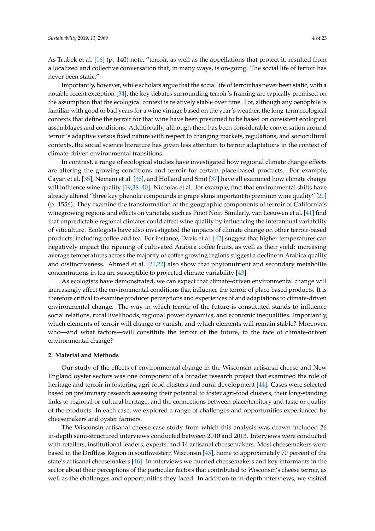As Trubek et al. [\[16\]](#page-18-9) (p. 140) note, "terroir, as well as the appellations that protect it, resulted from a localized and collective conversation that, in many ways, is on-going. The social life of terroir has never been static."

Importantly, however, while scholars argue that the social life of terroir has never been static, with a notable recent exception [\[34\]](#page-19-16), the key debates surrounding terroir's framing are typically premised on the assumption that the ecological context is relatively stable over time. For, although any oenophile is familiar with good or bad years for a wine vintage based on the year's weather, the long-term ecological contexts that define the terroir for that wine have been presumed to be based on consistent ecological assemblages and conditions. Additionally, although there has been considerable conversation around terroir's adaptive versus fixed nature with respect to changing markets, regulations, and sociocultural contexts, the social science literature has given less attention to terroir adaptations in the context of climate-driven environmental transitions.

In contrast, a range of ecological studies have investigated how regional climate change effects are altering the growing conditions and terroir for certain place-based products. For example, Cayan et al. [\[35\]](#page-19-17), Nemani et al. [\[36\]](#page-19-18), and Holland and Smit [\[37\]](#page-19-19) have all examined how climate change will influence wine quality [\[19,](#page-19-1)[38](#page-19-20)[–40\]](#page-19-21). Nicholas et al., for example, find that environmental shifts have already altered "three key phenolic compounds in grape skins important to premium wine quality" [\[20\]](#page-19-2) (p. 1556). They examine the transformation of the geographic components of terroir of California's winegrowing regions and effects on varietals, such as Pinot Noir. Similarly, van Leeuwen et al. [\[41\]](#page-19-22) find that unpredictable regional climates could affect wine quality by influencing the interannual variability of viticulture. Ecologists have also investigated the impacts of climate change on other terroir-based products, including coffee and tea. For instance, Davis et al. [\[42\]](#page-20-0) suggest that higher temperatures can negatively impact the ripening of cultivated Arabica coffee fruits, as well as their yield: increasing average temperatures across the majority of coffee growing regions suggest a decline in Arabica quality and distinctiveness. Ahmed et al. [\[21,](#page-19-3)[22\]](#page-19-4) also show that phytonutrient and secondary metabolite concentrations in tea are susceptible to projected climate variability [\[43\]](#page-20-1).

As ecologists have demonstrated, we can expect that climate-driven environmental change will increasingly affect the environmental conditions that influence the terroir of place-based products. It is therefore critical to examine producer perceptions and experiences of and adaptations to climate-driven environmental change. The way in which terroir of the future is constituted stands to influence social relations, rural livelihoods, regional power dynamics, and economic inequalities. Importantly, which elements of terroir will change or vanish, and which elements will remain stable? Moreover, who—and what factors—will constitute the terroir of the future, in the face of climate-driven environmental change?

#### **2. Material and Methods**

Our study of the effects of environmental change in the Wisconsin artisanal cheese and New England oyster sectors was one component of a broader research project that examined the role of heritage and terroir in fostering agri-food clusters and rural development [\[44\]](#page-20-2). Cases were selected based on preliminary research assessing their potential to foster agri-food clusters, their long-standing links to regional or cultural heritage, and the connections between place/territory and taste or quality of the products. In each case, we explored a range of challenges and opportunities experienced by cheesemakers and oyster farmers.

The Wisconsin artisanal cheese case study from which this analysis was drawn included 26 in-depth semi-structured interviews conducted between 2010 and 2013. Interviews were conducted with retailers, institutional leaders, experts, and 14 artisanal cheesemakers. Most cheesemakers were based in the Driftless Region in southwestern Wisconsin [\[45\]](#page-20-3), home to approximately 70 percent of the state's artisanal cheesemakers [\[46\]](#page-20-4). In interviews we queried cheesemakers and key informants in the sector about their perceptions of the particular factors that contributed to Wisconsin's cheese terroir, as well as the challenges and opportunities they faced. In addition to in-depth interviews, we visited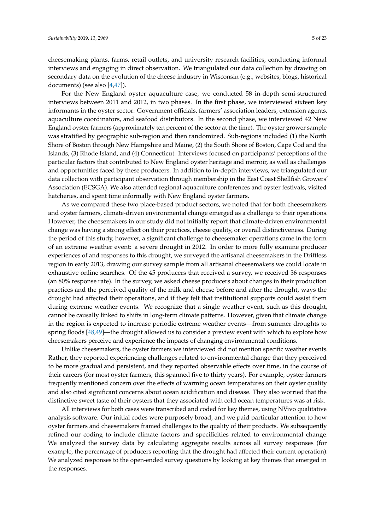cheesemaking plants, farms, retail outlets, and university research facilities, conducting informal interviews and engaging in direct observation. We triangulated our data collection by drawing on secondary data on the evolution of the cheese industry in Wisconsin (e.g., websites, blogs, historical documents) (see also [\[4,](#page-18-3)[47\]](#page-20-5)).

For the New England oyster aquaculture case, we conducted 58 in-depth semi-structured interviews between 2011 and 2012, in two phases. In the first phase, we interviewed sixteen key informants in the oyster sector: Government officials, farmers' association leaders, extension agents, aquaculture coordinators, and seafood distributors. In the second phase, we interviewed 42 New England oyster farmers (approximately ten percent of the sector at the time). The oyster grower sample was stratified by geographic sub-region and then randomized. Sub-regions included (1) the North Shore of Boston through New Hampshire and Maine, (2) the South Shore of Boston, Cape Cod and the Islands, (3) Rhode Island, and (4) Connecticut. Interviews focused on participants' perceptions of the particular factors that contributed to New England oyster heritage and merroir, as well as challenges and opportunities faced by these producers. In addition to in-depth interviews, we triangulated our data collection with participant observation through membership in the East Coast Shellfish Growers' Association (ECSGA). We also attended regional aquaculture conferences and oyster festivals, visited hatcheries, and spent time informally with New England oyster farmers.

As we compared these two place-based product sectors, we noted that for both cheesemakers and oyster farmers, climate-driven environmental change emerged as a challenge to their operations. However, the cheesemakers in our study did not initially report that climate-driven environmental change was having a strong effect on their practices, cheese quality, or overall distinctiveness. During the period of this study, however, a significant challenge to cheesemaker operations came in the form of an extreme weather event: a severe drought in 2012. In order to more fully examine producer experiences of and responses to this drought, we surveyed the artisanal cheesemakers in the Driftless region in early 2013, drawing our survey sample from all artisanal cheesemakers we could locate in exhaustive online searches. Of the 45 producers that received a survey, we received 36 responses (an 80% response rate). In the survey, we asked cheese producers about changes in their production practices and the perceived quality of the milk and cheese before and after the drought, ways the drought had affected their operations, and if they felt that institutional supports could assist them during extreme weather events. We recognize that a single weather event, such as this drought, cannot be causally linked to shifts in long-term climate patterns. However, given that climate change in the region is expected to increase periodic extreme weather events—from summer droughts to spring floods [\[48,](#page-20-6)[49\]](#page-20-7)—the drought allowed us to consider a preview event with which to explore how cheesemakers perceive and experience the impacts of changing environmental conditions.

Unlike cheesemakers, the oyster farmers we interviewed did not mention specific weather events. Rather, they reported experiencing challenges related to environmental change that they perceived to be more gradual and persistent, and they reported observable effects over time, in the course of their careers (for most oyster farmers, this spanned five to thirty years). For example, oyster farmers frequently mentioned concern over the effects of warming ocean temperatures on their oyster quality and also cited significant concerns about ocean acidification and disease. They also worried that the distinctive sweet taste of their oysters that they associated with cold ocean temperatures was at risk.

All interviews for both cases were transcribed and coded for key themes, using NVivo qualitative analysis software. Our initial codes were purposely broad, and we paid particular attention to how oyster farmers and cheesemakers framed challenges to the quality of their products. We subsequently refined our coding to include climate factors and specificities related to environmental change. We analyzed the survey data by calculating aggregate results across all survey responses (for example, the percentage of producers reporting that the drought had affected their current operation). We analyzed responses to the open-ended survey questions by looking at key themes that emerged in the responses.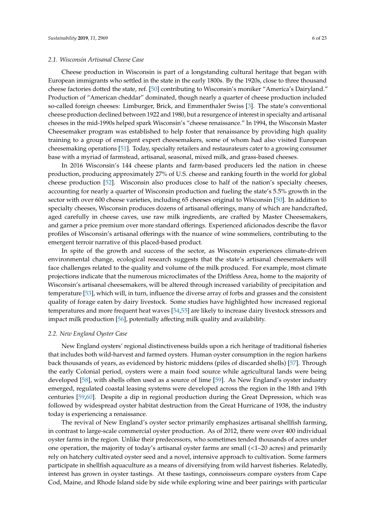#### *2.1. Wisconsin Artisanal Cheese Case*

Cheese production in Wisconsin is part of a longstanding cultural heritage that began with European immigrants who settled in the state in the early 1800s. By the 1920s, close to three thousand cheese factories dotted the state, ref. [\[50\]](#page-20-8) contributing to Wisconsin's moniker "America's Dairyland." Production of "American cheddar" dominated, though nearly a quarter of cheese production included so-called foreign cheeses: Limburger, Brick, and Emmenthaler Swiss [\[3\]](#page-18-2). The state's conventional cheese production declined between 1922 and 1980, but a resurgence of interest in specialty and artisanal cheeses in the mid-1990s helped spark Wisconsin's "cheese renaissance." In 1994, the Wisconsin Master Cheesemaker program was established to help foster that renaissance by providing high quality training to a group of emergent expert cheesemakers, some of whom had also visited European cheesemaking operations [\[51\]](#page-20-9). Today, specialty retailers and restaurateurs cater to a growing consumer base with a myriad of farmstead, artisanal, seasonal, mixed milk, and grass-based cheeses.

In 2016 Wisconsin's 144 cheese plants and farm-based producers led the nation in cheese production, producing approximately 27% of U.S. cheese and ranking fourth in the world for global cheese production [\[52\]](#page-20-10). Wisconsin also produces close to half of the nation's specialty cheeses, accounting for nearly a quarter of Wisconsin production and fueling the state's 5.5% growth in the sector with over 600 cheese varieties, including 65 cheeses original to Wisconsin [\[50\]](#page-20-8). In addition to specialty cheeses, Wisconsin produces dozens of artisanal offerings, many of which are handcrafted, aged carefully in cheese caves, use raw milk ingredients, are crafted by Master Cheesemakers, and garner a price premium over more standard offerings. Experienced aficionados describe the flavor profiles of Wisconsin's artisanal offerings with the nuance of wine sommeliers, contributing to the emergent terroir narrative of this placed-based product.

In spite of the growth and success of the sector, as Wisconsin experiences climate-driven environmental change, ecological research suggests that the state's artisanal cheesemakers will face challenges related to the quality and volume of the milk produced. For example, most climate projections indicate that the numerous microclimates of the Driftless Area, home to the majority of Wisconsin's artisanal cheesemakers, will be altered through increased variability of precipitation and temperature [\[53\]](#page-20-11), which will, in turn, influence the diverse array of forbs and grasses and the consistent quality of forage eaten by dairy livestock. Some studies have highlighted how increased regional temperatures and more frequent heat waves [\[54,](#page-20-12)[55\]](#page-20-13) are likely to increase dairy livestock stressors and impact milk production [\[56\]](#page-20-14), potentially affecting milk quality and availability.

#### *2.2. New England Oyster Case*

New England oysters' regional distinctiveness builds upon a rich heritage of traditional fisheries that includes both wild-harvest and farmed oysters. Human oyster consumption in the region harkens back thousands of years, as evidenced by historic middens (piles of discarded shells) [\[57\]](#page-20-15). Through the early Colonial period, oysters were a main food source while agricultural lands were being developed [\[58\]](#page-20-16), with shells often used as a source of lime [\[59\]](#page-21-0). As New England's oyster industry emerged, regulated coastal leasing systems were developed across the region in the 18th and 19th centuries [\[59](#page-21-0)[,60\]](#page-21-1). Despite a dip in regional production during the Great Depression, which was followed by widespread oyster habitat destruction from the Great Hurricane of 1938, the industry today is experiencing a renaissance.

The revival of New England's oyster sector primarily emphasizes artisanal shellfish farming, in contrast to large-scale commercial oyster production. As of 2012, there were over 400 individual oyster farms in the region. Unlike their predecessors, who sometimes tended thousands of acres under one operation, the majority of today's artisanal oyster farms are small (<1–20 acres) and primarily rely on hatchery cultivated oyster seed and a novel, intensive approach to cultivation. Some farmers participate in shellfish aquaculture as a means of diversifying from wild harvest fisheries. Relatedly, interest has grown in oyster tastings. At these tastings, connoisseurs compare oysters from Cape Cod, Maine, and Rhode Island side by side while exploring wine and beer pairings with particular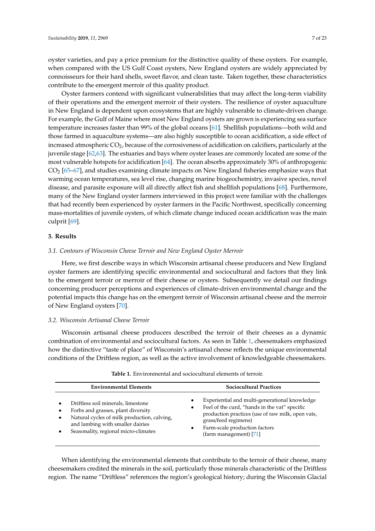oyster varieties, and pay a price premium for the distinctive quality of these oysters. For example, when compared with the US Gulf Coast oysters, New England oysters are widely appreciated by connoisseurs for their hard shells, sweet flavor, and clean taste. Taken together, these characteristics contribute to the emergent merroir of this quality product.

Oyster farmers contend with significant vulnerabilities that may affect the long-term viability of their operations and the emergent merroir of their oysters. The resilience of oyster aquaculture in New England is dependent upon ecosystems that are highly vulnerable to climate-driven change. For example, the Gulf of Maine where most New England oysters are grown is experiencing sea surface temperature increases faster than 99% of the global oceans [\[61\]](#page-21-2). Shellfish populations—both wild and those farmed in aquaculture systems—are also highly susceptible to ocean acidification, a side effect of increased atmospheric  $CO<sub>2</sub>$ , because of the corrosiveness of acidification on calcifiers, particularly at the juvenile stage [\[62,](#page-21-3)[63\]](#page-21-4). The estuaries and bays where oyster leases are commonly located are some of the most vulnerable hotspots for acidification [\[64\]](#page-21-5). The ocean absorbs approximately 30% of anthropogenic  $CO<sub>2</sub>$  [\[65–](#page-21-6)[67\]](#page-21-7), and studies examining climate impacts on New England fisheries emphasize ways that warming ocean temperatures, sea level rise, changing marine biogeochemistry, invasive species, novel disease, and parasite exposure will all directly affect fish and shellfish populations [\[68\]](#page-21-8). Furthermore, many of the New England oyster farmers interviewed in this project were familiar with the challenges that had recently been experienced by oyster farmers in the Pacific Northwest, specifically concerning mass-mortalities of juvenile oysters, of which climate change induced ocean acidification was the main culprit [\[69\]](#page-21-9).

#### **3. Results**

#### *3.1. Contours of Wisconsin Cheese Terroir and New England Oyster Merroir*

Here, we first describe ways in which Wisconsin artisanal cheese producers and New England oyster farmers are identifying specific environmental and sociocultural and factors that they link to the emergent terroir or merroir of their cheese or oysters. Subsequently we detail our findings concerning producer perceptions and experiences of climate-driven environmental change and the potential impacts this change has on the emergent terroir of Wisconsin artisanal cheese and the merroir of New England oysters [\[70\]](#page-21-10).

#### *3.2. Wisconsin Artisanal Cheese Terroir*

Wisconsin artisanal cheese producers described the terroir of their cheeses as a dynamic combination of environmental and sociocultural factors. As seen in Table [1,](#page-6-0) cheesemakers emphasized how the distinctive "taste of place" of Wisconsin's artisanal cheese reflects the unique environmental conditions of the Driftless region, as well as the active involvement of knowledgeable cheesemakers.

<span id="page-6-0"></span>

| <b>Environmental Elements</b>                                                                                                                                                                                    | <b>Sociocultural Practices</b>                                                                                                                                                                                                                                                  |
|------------------------------------------------------------------------------------------------------------------------------------------------------------------------------------------------------------------|---------------------------------------------------------------------------------------------------------------------------------------------------------------------------------------------------------------------------------------------------------------------------------|
| Driftless soil minerals, limestone<br>Forbs and grasses, plant diversity<br>Natural cycles of milk production, calving,<br>$\bullet$<br>and lambing with smaller dairies<br>Seasonality, regional micro-climates | Experiential and multi-generational knowledge<br>$\bullet$<br>Feel of the curd, "hands in the vat" specific<br>$\bullet$<br>production practices (use of raw milk, open vats,<br>grass/feed regimens)<br>Farm-scale production factors<br>$\bullet$<br>(farm management) $[71]$ |

**Table 1.** Environmental and sociocultural elements of terroir.

When identifying the environmental elements that contribute to the terroir of their cheese, many cheesemakers credited the minerals in the soil, particularly those minerals characteristic of the Driftless region. The name "Driftless" references the region's geological history; during the Wisconsin Glacial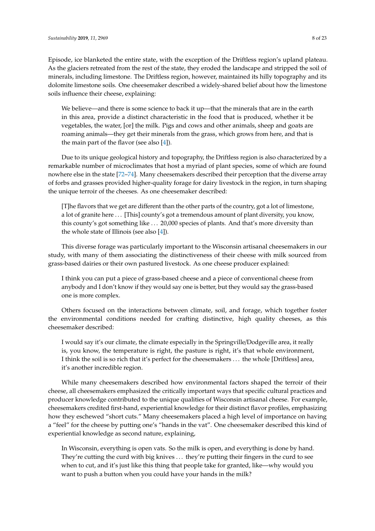Episode, ice blanketed the entire state, with the exception of the Driftless region's upland plateau. As the glaciers retreated from the rest of the state, they eroded the landscape and stripped the soil of minerals, including limestone. The Driftless region, however, maintained its hilly topography and its dolomite limestone soils. One cheesemaker described a widely-shared belief about how the limestone soils influence their cheese, explaining:

We believe—and there is some science to back it up—that the minerals that are in the earth in this area, provide a distinct characteristic in the food that is produced, whether it be vegetables, the water, [or] the milk. Pigs and cows and other animals, sheep and goats are roaming animals—they get their minerals from the grass, which grows from here, and that is the main part of the flavor (see also [\[4\]](#page-18-3)).

Due to its unique geological history and topography, the Driftless region is also characterized by a remarkable number of microclimates that host a myriad of plant species, some of which are found nowhere else in the state [\[72–](#page-21-12)[74\]](#page-21-13). Many cheesemakers described their perception that the diverse array of forbs and grasses provided higher-quality forage for dairy livestock in the region, in turn shaping the unique terroir of the cheeses. As one cheesemaker described:

[T]he flavors that we get are different than the other parts of the country, got a lot of limestone, a lot of granite here ... [This] county's got a tremendous amount of plant diversity, you know, this county's got something like . . . 20,000 species of plants. And that's more diversity than the whole state of Illinois (see also [\[4\]](#page-18-3)).

This diverse forage was particularly important to the Wisconsin artisanal cheesemakers in our study, with many of them associating the distinctiveness of their cheese with milk sourced from grass-based dairies or their own pastured livestock. As one cheese producer explained:

I think you can put a piece of grass-based cheese and a piece of conventional cheese from anybody and I don't know if they would say one is better, but they would say the grass-based one is more complex.

Others focused on the interactions between climate, soil, and forage, which together foster the environmental conditions needed for crafting distinctive, high quality cheeses, as this cheesemaker described:

I would say it's our climate, the climate especially in the Springville/Dodgeville area, it really is, you know, the temperature is right, the pasture is right, it's that whole environment, I think the soil is so rich that it's perfect for the cheesemakers . . . the whole [Driftless] area, it's another incredible region.

While many cheesemakers described how environmental factors shaped the terroir of their cheese, all cheesemakers emphasized the critically important ways that specific cultural practices and producer knowledge contributed to the unique qualities of Wisconsin artisanal cheese. For example, cheesemakers credited first-hand, experiential knowledge for their distinct flavor profiles, emphasizing how they eschewed "short cuts." Many cheesemakers placed a high level of importance on having a "feel" for the cheese by putting one's "hands in the vat". One cheesemaker described this kind of experiential knowledge as second nature, explaining,

In Wisconsin, everything is open vats. So the milk is open, and everything is done by hand. They're cutting the curd with big knives . . . they're putting their fingers in the curd to see when to cut, and it's just like this thing that people take for granted, like—why would you want to push a button when you could have your hands in the milk?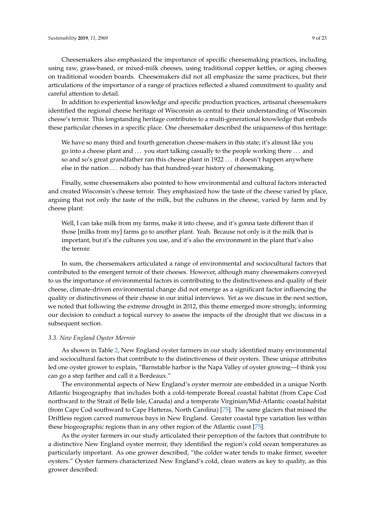Cheesemakers also emphasized the importance of specific cheesemaking practices, including using raw, grass-based, or mixed-milk cheeses, using traditional copper kettles, or aging cheeses on traditional wooden boards. Cheesemakers did not all emphasize the same practices, but their articulations of the importance of a range of practices reflected a shared commitment to quality and careful attention to detail.

In addition to experiential knowledge and specific production practices, artisanal cheesemakers identified the regional cheese heritage of Wisconsin as central to their understanding of Wisconsin cheese's terroir. This longstanding heritage contributes to a multi-generational knowledge that embeds these particular cheeses in a specific place. One cheesemaker described the uniqueness of this heritage:

We have so many third and fourth generation cheese-makers in this state; it's almost like you go into a cheese plant and . . . you start talking casually to the people working there . . . and so and so's great grandfather ran this cheese plant in 1922 . . . it doesn't happen anywhere else in the nation ... nobody has that hundred-year history of cheesemaking.

Finally, some cheesemakers also pointed to how environmental and cultural factors interacted and created Wisconsin's cheese terroir. They emphasized how the taste of the cheese varied by place, arguing that not only the taste of the milk, but the cultures in the cheese, varied by farm and by cheese plant:

Well, I can take milk from my farms, make it into cheese, and it's gonna taste different than if those [milks from my] farms go to another plant. Yeah. Because not only is it the milk that is important, but it's the cultures you use, and it's also the environment in the plant that's also the terroir.

In sum, the cheesemakers articulated a range of environmental and sociocultural factors that contributed to the emergent terroir of their cheeses. However, although many cheesemakers conveyed to us the importance of environmental factors in contributing to the distinctiveness and quality of their cheese, climate-driven environmental change did not emerge as a significant factor influencing the quality or distinctiveness of their cheese in our initial interviews. Yet as we discuss in the next section, we noted that following the extreme drought in 2012, this theme emerged more strongly, informing our decision to conduct a topical survey to assess the impacts of the drought that we discuss in a subsequent section.

#### *3.3. New England Oyster Merroir*

As shown in Table [2,](#page-9-0) New England oyster farmers in our study identified many environmental and sociocultural factors that contribute to the distinctiveness of their oysters. These unique attributes led one oyster grower to explain, "Barnstable harbor is the Napa Valley of oyster growing—I think you can go a step farther and call it a Bordeaux."

The environmental aspects of New England's oyster merroir are embedded in a unique North Atlantic biogeography that includes both a cold-temperate Boreal coastal habitat (from Cape Cod northward to the Strait of Belle Isle, Canada) and a temperate Virginian/Mid-Atlantic coastal habitat (from Cape Cod southward to Cape Hatteras, North Carolina) [\[75\]](#page-21-14). The same glaciers that missed the Driftless region carved numerous bays in New England. Greater coastal type variation lies within these biogeographic regions than in any other region of the Atlantic coast [\[75\]](#page-21-14).

As the oyster farmers in our study articulated their perception of the factors that contribute to a distinctive New England oyster merroir, they identified the region's cold ocean temperatures as particularly important. As one grower described, "the colder water tends to make firmer, sweeter oysters." Oyster farmers characterized New England's cold, clean waters as key to quality, as this grower described: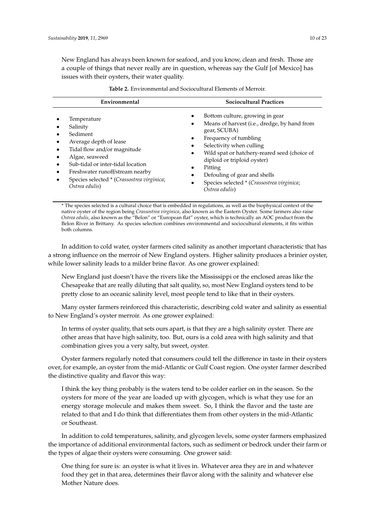New England has always been known for seafood, and you know, clean and fresh. Those are a couple of things that never really are in question, whereas say the Gulf [of Mexico] has issues with their oysters, their water quality.

<span id="page-9-0"></span>

| Environmental                                                                                                                                                                                                                                          | <b>Sociocultural Practices</b>                                                                                                                                                                                                                                                                                                                                                                 |
|--------------------------------------------------------------------------------------------------------------------------------------------------------------------------------------------------------------------------------------------------------|------------------------------------------------------------------------------------------------------------------------------------------------------------------------------------------------------------------------------------------------------------------------------------------------------------------------------------------------------------------------------------------------|
| Temperature<br>Salinity<br>Sediment<br>Average depth of lease<br>Tidal flow and/or magnitude<br>Algae, seaweed<br>Sub-tidal or inter-tidal location<br>Freshwater runoff/stream nearby<br>Species selected * (Crassostrea virginica;<br>Ostrea edulis) | Bottom culture, growing in gear<br>٠<br>Means of harvest (i.e., dredge, by hand from<br>٠<br>gear, SCUBA)<br>Frequency of tumbling<br>٠<br>Selectivity when culling<br>٠<br>Wild spat or hatchery-reared seed (choice of<br>$\bullet$<br>diploid or triploid oyster)<br>Pitting<br>٠<br>Defouling of gear and shells<br>٠<br>Species selected * (Crassostrea virginica;<br>٠<br>Ostrea edulis) |

**Table 2.** Environmental and Sociocultural Elements of Merroir.

\* The species selected is a cultural choice that is embedded in regulations, as well as the biophysical context of the native oyster of the region being *Crassostrea virginica*, also known as the Eastern Oyster. Some farmers also raise *Ostrea edulis*, also known as the "Belon" or "European flat" oyster, which is technically an AOC product from the Belon River in Brittany. As species selection combines environmental and sociocultural elements, it fits within both columns.

In addition to cold water, oyster farmers cited salinity as another important characteristic that has a strong influence on the merroir of New England oysters. Higher salinity produces a brinier oyster, while lower salinity leads to a milder brine flavor. As one grower explained:

New England just doesn't have the rivers like the Mississippi or the enclosed areas like the Chesapeake that are really diluting that salt quality, so, most New England oysters tend to be pretty close to an oceanic salinity level, most people tend to like that in their oysters.

Many oyster farmers reinforced this characteristic, describing cold water and salinity as essential to New England's oyster merroir. As one grower explained:

In terms of oyster quality, that sets ours apart, is that they are a high salinity oyster. There are other areas that have high salinity, too. But, ours is a cold area with high salinity and that combination gives you a very salty, but sweet, oyster.

Oyster farmers regularly noted that consumers could tell the difference in taste in their oysters over, for example, an oyster from the mid-Atlantic or Gulf Coast region. One oyster farmer described the distinctive quality and flavor this way:

I think the key thing probably is the waters tend to be colder earlier on in the season. So the oysters for more of the year are loaded up with glycogen, which is what they use for an energy storage molecule and makes them sweet. So, I think the flavor and the taste are related to that and I do think that differentiates them from other oysters in the mid-Atlantic or Southeast.

In addition to cold temperatures, salinity, and glycogen levels, some oyster farmers emphasized the importance of additional environmental factors, such as sediment or bedrock under their farm or the types of algae their oysters were consuming. One grower said:

One thing for sure is: an oyster is what it lives in. Whatever area they are in and whatever food they get in that area, determines their flavor along with the salinity and whatever else Mother Nature does.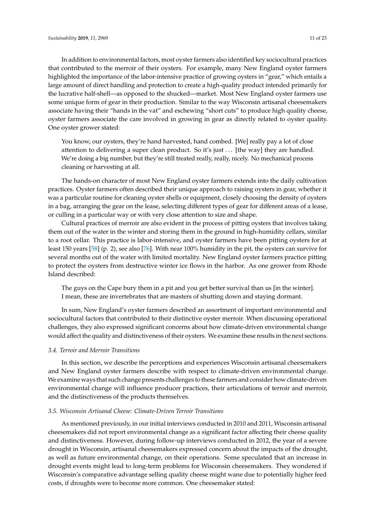In addition to environmental factors, most oyster farmers also identified key sociocultural practices that contributed to the merroir of their oysters. For example, many New England oyster farmers highlighted the importance of the labor-intensive practice of growing oysters in "gear," which entails a large amount of direct handling and protection to create a high-quality product intended primarily for the lucrative half-shell—as opposed to the shucked—market. Most New England oyster farmers use some unique form of gear in their production. Similar to the way Wisconsin artisanal cheesemakers associate having their "hands in the vat" and eschewing "short cuts" to produce high quality cheese, oyster farmers associate the care involved in growing in gear as directly related to oyster quality. One oyster grower stated:

You know, our oysters, they're hand harvested, hand combed. [We] really pay a lot of close attention to delivering a super clean product. So it's just ... [the way] they are handled. We're doing a big number, but they're still treated really, really, nicely. No mechanical process cleaning or harvesting at all.

The hands-on character of most New England oyster farmers extends into the daily cultivation practices. Oyster farmers often described their unique approach to raising oysters in gear, whether it was a particular routine for cleaning oyster shells or equipment, closely choosing the density of oysters in a bag, arranging the gear on the lease, selecting different types of gear for different areas of a lease, or culling in a particular way or with very close attention to size and shape.

Cultural practices of merroir are also evident in the process of pitting oysters that involves taking them out of the water in the winter and storing them in the ground in high-humidity cellars, similar to a root cellar. This practice is labor-intensive, and oyster farmers have been pitting oysters for at least 150 years [\[58\]](#page-20-16) (p. 2), see also [\[76\]](#page-21-15). With near 100% humidity in the pit, the oysters can survive for several months out of the water with limited mortality. New England oyster farmers practice pitting to protect the oysters from destructive winter ice flows in the harbor. As one grower from Rhode Island described:

The guys on the Cape bury them in a pit and you get better survival than us [in the winter]. I mean, these are invertebrates that are masters of shutting down and staying dormant.

In sum, New England's oyster farmers described an assortment of important environmental and sociocultural factors that contributed to their distinctive oyster merroir. When discussing operational challenges, they also expressed significant concerns about how climate-driven environmental change would affect the quality and distinctiveness of their oysters. We examine these results in the next sections.

#### *3.4. Terroir and Merroir Transitions*

In this section, we describe the perceptions and experiences Wisconsin artisanal cheesemakers and New England oyster farmers describe with respect to climate-driven environmental change. We examine ways that such change presents challenges to these farmers and consider how climate-driven environmental change will influence producer practices, their articulations of terroir and merroir, and the distinctiveness of the products themselves.

### *3.5. Wisconsin Artisanal Cheese: Climate-Driven Terroir Transitions*

As mentioned previously, in our initial interviews conducted in 2010 and 2011, Wisconsin artisanal cheesemakers did not report environmental change as a significant factor affecting their cheese quality and distinctiveness. However, during follow-up interviews conducted in 2012, the year of a severe drought in Wisconsin, artisanal cheesemakers expressed concern about the impacts of the drought, as well as future environmental change, on their operations. Some speculated that an increase in drought events might lead to long-term problems for Wisconsin cheesemakers. They wondered if Wisconsin's comparative advantage selling quality cheese might wane due to potentially higher feed costs, if droughts were to become more common. One cheesemaker stated: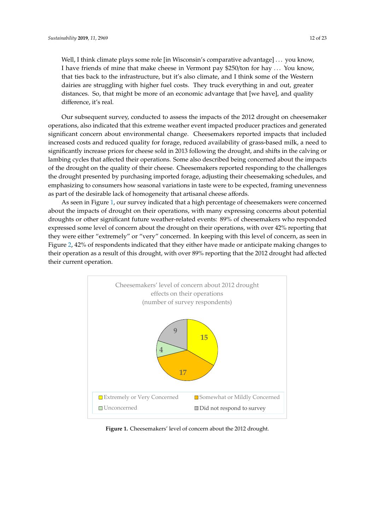Well, I think climate plays some role [in Wisconsin's comparative advantage] ... you know, I have friends of mine that make cheese in Vermont pay \$250/ton for hay  $\ldots$  You know, that ties back to the infrastructure, but it's also climate, and I think some of the Western dairies are struggling with higher fuel costs. They truck everything in and out, greater distances. So, that might be more of an economic advantage that [we have], and quality difference, it's real.  $\frac{1}{2}$ 

Our subsequent survey, conducted to assess the impacts of the 2012 drought on cheesemaker Our subsequent survey, conducted to assess the impacts of the 2012 drought on cheesemaker operations, also indicated that this extreme weather event impacted producer practices and generated significant concern about environmental change. Cheesemakers reported impacts that included increased costs and reduced quality for forage, reduced availability of grass-based milk, a need to significantly increase prices for cheese sold in 2013 following the drought, and shifts in the calving or lambing cycles that affected their operations. Some also described being concerned about the impacts of the drought on the quality of their cheese. Cheesemakers reported responding to the challenges the drought presented by purchasing imported forage, adjusting their cheesemaking schedules, and emphasizing to consumers how seasonal variations in taste were to be expected, framing unevenness as part of the desirable lack of homogeneity that artisanal cheese affords.

As seen in Figure [1,](#page-11-0) our survey indicated that a high percentage of cheesemakers were concerned As seen in Figure 1, our survey indicated that a high percentage of cheesemakers were concerned about the impacts of drought on their operations, with many expressing concerns about potential about the impacts of drought on their operations, with many expressing concerns about potential droughts or other significant future weather-related events: 89% of cheesemakers who responded droughts or other significant future weather-related events: 89% of cheesemakers who responded expressed some level of concern about the drought on their operations, with over 42% reporting that expressed some level of concern about the drought on their operations, with over 42% reporting that they were either "extremely" or "very" concerned. In keeping with this level of concern, as seen in Figure [2,](#page-12-0) 42% of respondents indicated that they either have made or anticipate making changes to Figure 2, 42% of respondents indicated that they either have made or anticipate making changes to their operation as a result of this drought, with over 89% reporting that the 2012 drought had affected their operation as a result of this drought, with over 89% reporting that the 2012 drought had affected their current operation. their current operation.

<span id="page-11-0"></span>

**Figure 1.** Cheesemakers' level of concern about the 2012 drought. **Figure 1.** Cheesemakers' level of concern about the 2012 drought.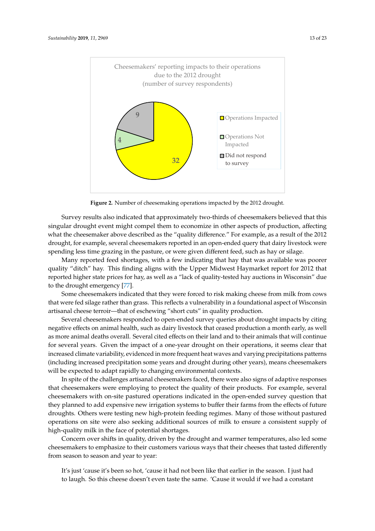<span id="page-12-0"></span>

**Figure 2.** Number of cheesemaking operations impacted by the 2012 drought. **Figure 2.** Number of cheesemaking operations impacted by the 2012 drought.

Survey results also indicated that approximately two-thirds of cheesemakers believed that this Survey results also indicated that approximately two-thirds of cheesemakers believed that this singular drought event might compel them to economize in other aspects of production, affecting singular drought event might compel them to economize in other aspects of production, affecting what the cheesemaker above described as the "quality difference." For example, as a result of the what the cheesemaker above described as the "quality difference." For example, as a result of the 2012 2012 drought, for example, several cheesemakers reported in an open-ended query that dairy drought, for example, several cheesemakers reported in an open-ended query that dairy livestock were spending less time grazing in the pasture, or were given different feed, such as hay or silage.

Many reported feed shortages, with a few indicating that hay that was available was poorer quality "ditch" hay. This finding aligns with the Upper Midwest Haymarket report for 2012 that reported higher state prices for hay, as well as a "lack of quality-tested hay auctions in Wisconsin" due to the drought emergency [\[77\]](#page-21-16).  $\blacksquare$ 

Some cheesemakers indicated that they were forced to risk making cheese from milk from cows that were fed silage rather than grass. This reflects a vulnerability in a foundational aspect of Wisconsin artisanal cheese terroir—that of eschewing "short cuts" in quality production.

Several cheesemakers responded to open-ended survey queries about drought impacts by citing negative effects on animal health, such as dairy livestock that ceased production a month early, as well as more animal deaths overall. Several cited effects on their land and to their animals that will continue for several years. Given the impact of a one-year drought on their operations, it seems clear that increased climate variability, evidenced in more frequent heat waves and varying precipitations patterns (including increased precipitation some years and drought during other years), means cheesemakers will be expected to adapt rapidly to changing environmental contexts.

In spite of the challenges artisanal cheesemakers faced, there were also signs of adaptive responses that cheesemakers were employing to protect the quality of their products. For example, several cheesemakers with on-site pastured operations indicated in the open-ended survey question that they planned to add expensive new irrigation systems to buffer their farms from the effects of future droughts. Others were testing new high-protein feeding regimes. Many of those without pastured operations on site were also seeking additional sources of milk to ensure a consistent supply of high-quality milk in the face of potential shortages.

Concern over shifts in quality, driven by the drought and warmer temperatures, also led some cheesemakers to emphasize to their customers various ways that their cheeses that tasted differently from season to season and year to year: **cheeses that their cheeses that their cheeses** that their cheeses that tasted differently and year to year: **cheeses that their cheeses that their constant of the constant of the co** 

to laugh. So this cheese doesn't even taste the same. 'Cause it would if we had a constant had to laugh. So this cheese doesn't even taste the same. 'Cause it would if we had a It's just 'cause it's been so hot, 'cause it had not been like that earlier in the season. I just had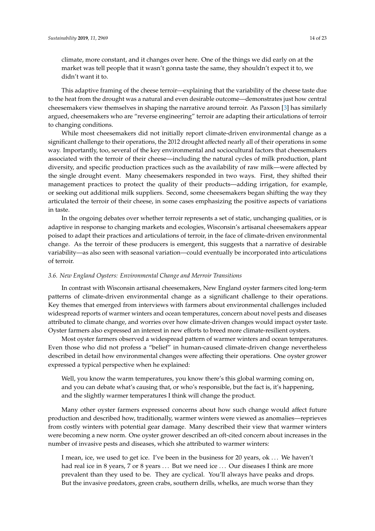climate, more constant, and it changes over here. One of the things we did early on at the market was tell people that it wasn't gonna taste the same, they shouldn't expect it to, we didn't want it to.

This adaptive framing of the cheese terroir—explaining that the variability of the cheese taste due to the heat from the drought was a natural and even desirable outcome—demonstrates just how central cheesemakers view themselves in shaping the narrative around terroir. As Paxson [\[3\]](#page-18-2) has similarly argued, cheesemakers who are "reverse engineering" terroir are adapting their articulations of terroir to changing conditions.

While most cheesemakers did not initially report climate-driven environmental change as a significant challenge to their operations, the 2012 drought affected nearly all of their operations in some way. Importantly, too, several of the key environmental and sociocultural factors that cheesemakers associated with the terroir of their cheese—including the natural cycles of milk production, plant diversity, and specific production practices such as the availability of raw milk—were affected by the single drought event. Many cheesemakers responded in two ways. First, they shifted their management practices to protect the quality of their products—adding irrigation, for example, or seeking out additional milk suppliers. Second, some cheesemakers began shifting the way they articulated the terroir of their cheese, in some cases emphasizing the positive aspects of variations in taste.

In the ongoing debates over whether terroir represents a set of static, unchanging qualities, or is adaptive in response to changing markets and ecologies, Wisconsin's artisanal cheesemakers appear poised to adapt their practices and articulations of terroir, in the face of climate-driven environmental change. As the terroir of these producers is emergent, this suggests that a narrative of desirable variability—as also seen with seasonal variation—could eventually be incorporated into articulations of terroir.

#### *3.6. New England Oysters: Environmental Change and Merroir Transitions*

In contrast with Wisconsin artisanal cheesemakers, New England oyster farmers cited long-term patterns of climate-driven environmental change as a significant challenge to their operations. Key themes that emerged from interviews with farmers about environmental challenges included widespread reports of warmer winters and ocean temperatures, concern about novel pests and diseases attributed to climate change, and worries over how climate-driven changes would impact oyster taste. Oyster farmers also expressed an interest in new efforts to breed more climate-resilient oysters.

Most oyster farmers observed a widespread pattern of warmer winters and ocean temperatures. Even those who did not profess a "belief" in human-caused climate-driven change nevertheless described in detail how environmental changes were affecting their operations. One oyster grower expressed a typical perspective when he explained:

Well, you know the warm temperatures, you know there's this global warming coming on, and you can debate what's causing that, or who's responsible, but the fact is, it's happening, and the slightly warmer temperatures I think will change the product.

Many other oyster farmers expressed concerns about how such change would affect future production and described how, traditionally, warmer winters were viewed as anomalies—reprieves from costly winters with potential gear damage. Many described their view that warmer winters were becoming a new norm. One oyster grower described an oft-cited concern about increases in the number of invasive pests and diseases, which she attributed to warmer winters:

I mean, ice, we used to get ice. I've been in the business for 20 years, ok . . . We haven't had real ice in 8 years, 7 or 8 years ... But we need ice ... Our diseases I think are more prevalent than they used to be. They are cyclical. You'll always have peaks and drops. But the invasive predators, green crabs, southern drills, whelks, are much worse than they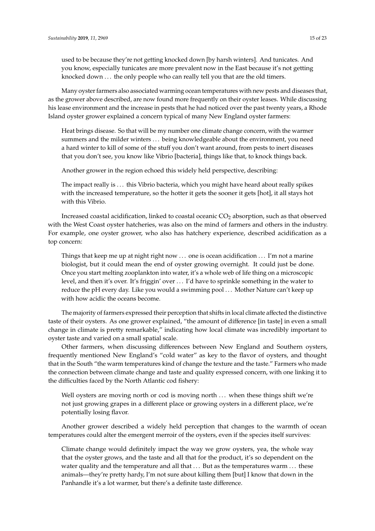used to be because they're not getting knocked down [by harsh winters]. And tunicates. And you know, especially tunicates are more prevalent now in the East because it's not getting knocked down ... the only people who can really tell you that are the old timers.

Many oyster farmers also associated warming ocean temperatures with new pests and diseases that, as the grower above described, are now found more frequently on their oyster leases. While discussing his lease environment and the increase in pests that he had noticed over the past twenty years, a Rhode Island oyster grower explained a concern typical of many New England oyster farmers:

Heat brings disease. So that will be my number one climate change concern, with the warmer summers and the milder winters . . . being knowledgeable about the environment, you need a hard winter to kill of some of the stuff you don't want around, from pests to inert diseases that you don't see, you know like Vibrio [bacteria], things like that, to knock things back.

Another grower in the region echoed this widely held perspective, describing:

The impact really is . . . this Vibrio bacteria, which you might have heard about really spikes with the increased temperature, so the hotter it gets the sooner it gets [hot], it all stays hot with this Vibrio.

Increased coastal acidification, linked to coastal oceanic  $CO<sub>2</sub>$  absorption, such as that observed with the West Coast oyster hatcheries, was also on the mind of farmers and others in the industry. For example, one oyster grower, who also has hatchery experience, described acidification as a top concern:

Things that keep me up at night right now  $\dots$  one is ocean acidification  $\dots$  I'm not a marine biologist, but it could mean the end of oyster growing overnight. It could just be done. Once you start melting zooplankton into water, it's a whole web of life thing on a microscopic level, and then it's over. It's friggin' over . . . I'd have to sprinkle something in the water to reduce the pH every day. Like you would a swimming pool . . . Mother Nature can't keep up with how acidic the oceans become.

The majority of farmers expressed their perception that shifts in local climate affected the distinctive taste of their oysters. As one grower explained, "the amount of difference [in taste] in even a small change in climate is pretty remarkable," indicating how local climate was incredibly important to oyster taste and varied on a small spatial scale.

Other farmers, when discussing differences between New England and Southern oysters, frequently mentioned New England's "cold water" as key to the flavor of oysters, and thought that in the South "the warm temperatures kind of change the texture and the taste." Farmers who made the connection between climate change and taste and quality expressed concern, with one linking it to the difficulties faced by the North Atlantic cod fishery:

Well oysters are moving north or cod is moving north ... when these things shift we're not just growing grapes in a different place or growing oysters in a different place, we're potentially losing flavor.

Another grower described a widely held perception that changes to the warmth of ocean temperatures could alter the emergent merroir of the oysters, even if the species itself survives:

Climate change would definitely impact the way we grow oysters, yea, the whole way that the oyster grows, and the taste and all that for the product, it's so dependent on the water quality and the temperature and all that ... But as the temperatures warm ... these animals—they're pretty hardy, I'm not sure about killing them [but] I know that down in the Panhandle it's a lot warmer, but there's a definite taste difference.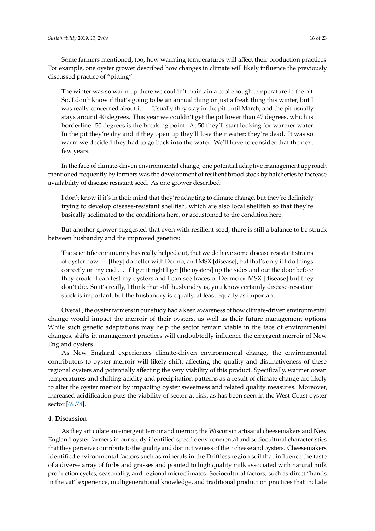Some farmers mentioned, too, how warming temperatures will affect their production practices. For example, one oyster grower described how changes in climate will likely influence the previously discussed practice of "pitting":

The winter was so warm up there we couldn't maintain a cool enough temperature in the pit. So, I don't know if that's going to be an annual thing or just a freak thing this winter, but I was really concerned about it ... Usually they stay in the pit until March, and the pit usually stays around 40 degrees. This year we couldn't get the pit lower than 47 degrees, which is borderline. 50 degrees is the breaking point. At 50 they'll start looking for warmer water. In the pit they're dry and if they open up they'll lose their water; they're dead. It was so warm we decided they had to go back into the water. We'll have to consider that the next few years.

In the face of climate-driven environmental change, one potential adaptive management approach mentioned frequently by farmers was the development of resilient brood stock by hatcheries to increase availability of disease resistant seed. As one grower described:

I don't know if it's in their mind that they're adapting to climate change, but they're definitely trying to develop disease-resistant shellfish, which are also local shellfish so that they're basically acclimated to the conditions here, or accustomed to the condition here.

But another grower suggested that even with resilient seed, there is still a balance to be struck between husbandry and the improved genetics:

The scientific community has really helped out, that we do have some disease resistant strains of oyster now . . . [they] do better with Dermo, and MSX [disease], but that's only if I do things correctly on my end . . . if I get it right I get [the oysters] up the sides and out the door before they croak. I can test my oysters and I can see traces of Dermo or MSX [disease] but they don't die. So it's really, I think that still husbandry is, you know certainly disease-resistant stock is important, but the husbandry is equally, at least equally as important.

Overall, the oyster farmers in our study had a keen awareness of how climate-driven environmental change would impact the merroir of their oysters, as well as their future management options. While such genetic adaptations may help the sector remain viable in the face of environmental changes, shifts in management practices will undoubtedly influence the emergent merroir of New England oysters.

As New England experiences climate-driven environmental change, the environmental contributors to oyster merroir will likely shift, affecting the quality and distinctiveness of these regional oysters and potentially affecting the very viability of this product. Specifically, warmer ocean temperatures and shifting acidity and precipitation patterns as a result of climate change are likely to alter the oyster merroir by impacting oyster sweetness and related quality measures. Moreover, increased acidification puts the viability of sector at risk, as has been seen in the West Coast oyster sector [\[69](#page-21-9)[,78\]](#page-22-0).

#### **4. Discussion**

As they articulate an emergent terroir and merroir, the Wisconsin artisanal cheesemakers and New England oyster farmers in our study identified specific environmental and sociocultural characteristics that they perceive contribute to the quality and distinctiveness of their cheese and oysters. Cheesemakers identified environmental factors such as minerals in the Driftless region soil that influence the taste of a diverse array of forbs and grasses and pointed to high quality milk associated with natural milk production cycles, seasonality, and regional microclimates. Sociocultural factors, such as direct "hands in the vat" experience, multigenerational knowledge, and traditional production practices that include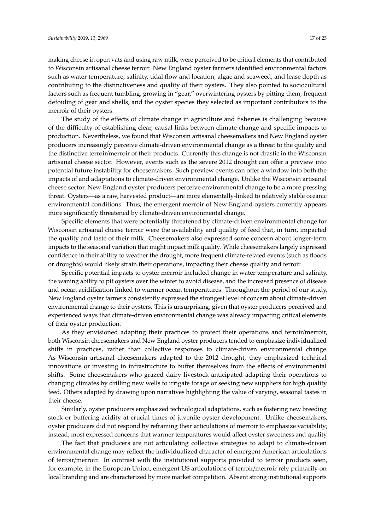making cheese in open vats and using raw milk, were perceived to be critical elements that contributed to Wisconsin artisanal cheese terroir. New England oyster farmers identified environmental factors such as water temperature, salinity, tidal flow and location, algae and seaweed, and lease depth as contributing to the distinctiveness and quality of their oysters. They also pointed to sociocultural factors such as frequent tumbling, growing in "gear," overwintering oysters by pitting them, frequent defouling of gear and shells, and the oyster species they selected as important contributors to the merroir of their oysters.

The study of the effects of climate change in agriculture and fisheries is challenging because of the difficulty of establishing clear, causal links between climate change and specific impacts to production. Nevertheless, we found that Wisconsin artisanal cheesemakers and New England oyster producers increasingly perceive climate-driven environmental change as a threat to the quality and the distinctive terroir/merroir of their products. Currently this change is not drastic in the Wisconsin artisanal cheese sector. However, events such as the severe 2012 drought can offer a preview into potential future instability for cheesemakers. Such preview events can offer a window into both the impacts of and adaptations to climate-driven environmental change. Unlike the Wisconsin artisanal cheese sector, New England oyster producers perceive environmental change to be a more pressing threat. Oysters—as a raw, harvested product—are more elementally-linked to relatively stable oceanic environmental conditions. Thus, the emergent merroir of New England oysters currently appears more significantly threatened by climate-driven environmental change.

Specific elements that were potentially threatened by climate-driven environmental change for Wisconsin artisanal cheese terroir were the availability and quality of feed that, in turn, impacted the quality and taste of their milk. Cheesemakers also expressed some concern about longer-term impacts to the seasonal variation that might impact milk quality. While cheesemakers largely expressed confidence in their ability to weather the drought, more frequent climate-related events (such as floods or droughts) would likely strain their operations, impacting their cheese quality and terroir.

Specific potential impacts to oyster merroir included change in water temperature and salinity, the waning ability to pit oysters over the winter to avoid disease, and the increased presence of disease and ocean acidification linked to warmer ocean temperatures. Throughout the period of our study, New England oyster farmers consistently expressed the strongest level of concern about climate-driven environmental change to their oysters. This is unsurprising, given that oyster producers perceived and experienced ways that climate-driven environmental change was already impacting critical elements of their oyster production.

As they envisioned adapting their practices to protect their operations and terroir/merroir, both Wisconsin cheesemakers and New England oyster producers tended to emphasize individualized shifts in practices, rather than collective responses to climate-driven environmental change. As Wisconsin artisanal cheesemakers adapted to the 2012 drought, they emphasized technical innovations or investing in infrastructure to buffer themselves from the effects of environmental shifts. Some cheesemakers who grazed dairy livestock anticipated adapting their operations to changing climates by drilling new wells to irrigate forage or seeking new suppliers for high quality feed. Others adapted by drawing upon narratives highlighting the value of varying, seasonal tastes in their cheese.

Similarly, oyster producers emphasized technological adaptations, such as fostering new breeding stock or buffering acidity at crucial times of juvenile oyster development. Unlike cheesemakers, oyster producers did not respond by reframing their articulations of merroir to emphasize variability; instead, most expressed concerns that warmer temperatures would affect oyster sweetness and quality.

The fact that producers are not articulating collective strategies to adapt to climate-driven environmental change may reflect the individualized character of emergent American articulations of terroir/merroir. In contrast with the institutional supports provided to terroir products seen, for example, in the European Union, emergent US articulations of terroir/merroir rely primarily on local branding and are characterized by more market competition. Absent strong institutional supports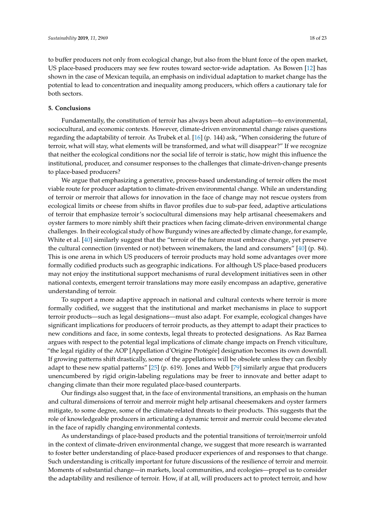to buffer producers not only from ecological change, but also from the blunt force of the open market, US place-based producers may see few routes toward sector-wide adaptation. As Bowen [\[12\]](#page-18-8) has shown in the case of Mexican tequila, an emphasis on individual adaptation to market change has the potential to lead to concentration and inequality among producers, which offers a cautionary tale for both sectors.

#### **5. Conclusions**

Fundamentally, the constitution of terroir has always been about adaptation—to environmental, sociocultural, and economic contexts. However, climate-driven environmental change raises questions regarding the adaptability of terroir. As Trubek et al. [\[16\]](#page-18-9) (p. 144) ask, "When considering the future of terroir, what will stay, what elements will be transformed, and what will disappear?" If we recognize that neither the ecological conditions nor the social life of terroir is static, how might this influence the institutional, producer, and consumer responses to the challenges that climate-driven-change presents to place-based producers?

We argue that emphasizing a generative, process-based understanding of terroir offers the most viable route for producer adaptation to climate-driven environmental change. While an understanding of terroir or merroir that allows for innovation in the face of change may not rescue oysters from ecological limits or cheese from shifts in flavor profiles due to sub-par feed, adaptive articulations of terroir that emphasize terroir's sociocultural dimensions may help artisanal cheesemakers and oyster farmers to more nimbly shift their practices when facing climate-driven environmental change challenges. In their ecological study of how Burgundy wines are affected by climate change, for example, White et al. [\[40\]](#page-19-21) similarly suggest that the "terroir of the future must embrace change, yet preserve the cultural connection (invented or not) between winemakers, the land and consumers" [\[40\]](#page-19-21) (p. 84). This is one arena in which US producers of terroir products may hold some advantages over more formally codified products such as geographic indications. For although US place-based producers may not enjoy the institutional support mechanisms of rural development initiatives seen in other national contexts, emergent terroir translations may more easily encompass an adaptive, generative understanding of terroir.

To support a more adaptive approach in national and cultural contexts where terroir is more formally codified, we suggest that the institutional and market mechanisms in place to support terroir products—such as legal designations—must also adapt. For example, ecological changes have significant implications for producers of terroir products, as they attempt to adapt their practices to new conditions and face, in some contexts, legal threats to protected designations. As Raz Barnea argues with respect to the potential legal implications of climate change impacts on French viticulture, "the legal rigidity of the AOP [Appellation d'Origine Protégée] designation becomes its own downfall. If growing patterns shift drastically, some of the appellations will be obsolete unless they can flexibly adapt to these new spatial patterns" [\[25\]](#page-19-7) (p. 619). Jones and Webb [\[79\]](#page-22-1) similarly argue that producers unencumbered by rigid origin-labeling regulations may be freer to innovate and better adapt to changing climate than their more regulated place-based counterparts.

Our findings also suggest that, in the face of environmental transitions, an emphasis on the human and cultural dimensions of terroir and merroir might help artisanal cheesemakers and oyster farmers mitigate, to some degree, some of the climate-related threats to their products. This suggests that the role of knowledgeable producers in articulating a dynamic terroir and merroir could become elevated in the face of rapidly changing environmental contexts.

As understandings of place-based products and the potential transitions of terroir/merroir unfold in the context of climate-driven environmental change, we suggest that more research is warranted to foster better understanding of place-based producer experiences of and responses to that change. Such understanding is critically important for future discussions of the resilience of terroir and merroir. Moments of substantial change—in markets, local communities, and ecologies—propel us to consider the adaptability and resilience of terroir. How, if at all, will producers act to protect terroir, and how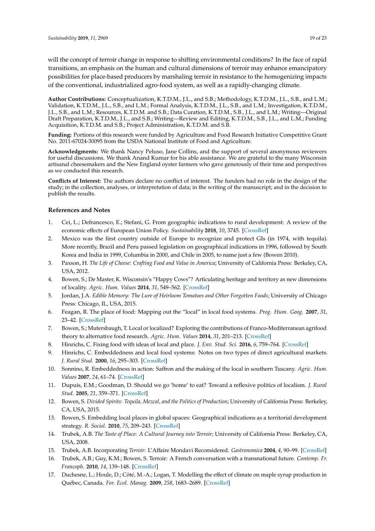will the concept of terroir change in response to shifting environmental conditions? In the face of rapid transitions, an emphasis on the human and cultural dimensions of terroir may enhance emancipatory possibilities for place-based producers by marshaling terroir in resistance to the homogenizing impacts of the conventional, industrialized agro-food system, as well as a rapidly-changing climate.

**Author Contributions:** Conceptualization, K.T.D.M., J.L., and S.B.; Methodology, K.T.D.M., J.L., S.B., and L.M.; Validation, K.T.D.M., J.L., S.B., and L.M.; Formal Analysis, K.T.D.M., J.L., S.B., and L.M.; Investigation, K.T.D.M., J.L., S.B., and L.M.; Resources, K.T.D.M. and S.B.; Data Curation, K.T.D.M., S.B., J.L., and L.M.; Writing—Original Draft Preparation, K.T.D.M., J.L., and S.B.; Writing—Review and Editing, K.T.D.M., S.B., J.L., and L.M.; Funding Acquisition, K.T.D.M. and S.B.; Project Administration, K.T.D.M. and S.B.

**Funding:** Portions of this research were funded by Agriculture and Food Research Initiative Competitive Grant No. 2011-67024-30095 from the USDA National Institute of Food and Agriculture.

**Acknowledgments:** We thank Nancy Peluso, Jane Collins, and the support of several anonymous reviewers for useful discussions. We thank Anand Kumar for his able assistance. We are grateful to the many Wisconsin artisanal cheesemakers and the New England oyster farmers who gave generously of their time and perspectives as we conducted this research.

**Conflicts of Interest:** The authors declare no conflict of interest. The funders had no role in the design of the study; in the collection, analyses, or interpretation of data; in the writing of the manuscript; and in the decision to publish the results.

## **References and Notes**

- <span id="page-18-0"></span>1. Cei, L.; Defrancesco, E.; Stefani, G. From geographic indications to rural development: A review of the economic effects of European Union Policy. *Sustainability* **2018**, *10*, 3745. [\[CrossRef\]](http://dx.doi.org/10.3390/su10103745)
- <span id="page-18-1"></span>2. Mexico was the first country outside of Europe to recognize and protect GIs (in 1974, with tequila). More recently, Brazil and Peru passed legislation on geographical indications in 1996, followed by South Korea and India in 1999, Columbia in 2000, and Chile in 2005, to name just a few (Bowen 2010).
- <span id="page-18-2"></span>3. Paxson, H. *The Life of Cheese: Crafting Food and Value in America*; University of California Press: Berkeley, CA, USA, 2012.
- <span id="page-18-3"></span>4. Bowen, S.; De Master, K. Wisconsin's "Happy Cows"? Articulating heritage and territory as new dimensions of locality. *Agric. Hum. Values* **2014**, *31*, 549–562. [\[CrossRef\]](http://dx.doi.org/10.1007/s10460-014-9489-3)
- <span id="page-18-4"></span>5. Jordan, J.A. *Edible Memory: The Lure of Heirloom Tomatoes and Other Forgotten Foods*; University of Chicago Press: Chicago, IL, USA, 2015.
- <span id="page-18-5"></span>6. Feagan, R. The place of food: Mapping out the "local" in local food systems. *Prog. Hum. Geog.* **2007**, *31*, 23–42. [\[CrossRef\]](http://dx.doi.org/10.1177/0309132507073527)
- <span id="page-18-6"></span>7. Bowen, S.; Mutersbaugh, T. Local or localized? Exploring the contributions of Franco-Mediterranean agrifood theory to alternative food research. *Agric. Hum. Values* **2014**, *31*, 201–213. [\[CrossRef\]](http://dx.doi.org/10.1007/s10460-013-9461-7)
- 8. Hinrichs, C. Fixing food with ideas of local and place. *J. Env. Stud. Sci.* **2016**, *6*, 759–764. [\[CrossRef\]](http://dx.doi.org/10.1007/s13412-015-0266-4)
- 9. Hinrichs, C. Embeddedness and local food systems: Notes on two types of direct agricultural markets. *J. Rural Stud.* **2000**, *16*, 295–303. [\[CrossRef\]](http://dx.doi.org/10.1016/S0743-0167(99)00063-7)
- 10. Sonnino, R. Embeddedness in action: Saffron and the making of the local in southern Tuscany. *Agric. Hum. Values* **2007**, *24*, 61–74. [\[CrossRef\]](http://dx.doi.org/10.1007/s10460-006-9036-y)
- <span id="page-18-7"></span>11. Dupuis, E.M.; Goodman, D. Should we go 'home' to eat? Toward a reflexive politics of localism. *J. Rural Stud.* **2005**, *21*, 359–371. [\[CrossRef\]](http://dx.doi.org/10.1016/j.jrurstud.2005.05.011)
- <span id="page-18-8"></span>12. Bowen, S. *Divided Spirits: Tequila, Mezcal, and the Politics of Production*; University of California Press: Berkeley, CA, USA, 2015.
- 13. Bowen, S. Embedding local places in global spaces: Geographical indications as a territorial development strategy. *R. Sociol.* **2010**, *75*, 209–243. [\[CrossRef\]](http://dx.doi.org/10.1111/j.1549-0831.2009.00007.x)
- <span id="page-18-11"></span>14. Trubek, A.B. *The Taste of Place: A Cultural Journey into Terroir*; University of California Press: Berkeley, CA, USA, 2008.
- 15. Trubek, A.B. Incorporating *Terroir*: L'Affaire Mondavi Reconsidered. *Gastronomica* **2004**, *4*, 90–99. [\[CrossRef\]](http://dx.doi.org/10.1525/gfc.2004.4.3.90)
- <span id="page-18-9"></span>16. Trubek, A.B.; Guy, K.M.; Bowen, S. Terroir: A French conversation with a transnational future. *Contemp. Fr. Francoph.* **2010**, *14*, 139–148. [\[CrossRef\]](http://dx.doi.org/10.1080/17409291003644206)
- <span id="page-18-10"></span>17. Duchesne, L.; Houle, D.; Côté, M.-A.; Logan, T. Modelling the effect of climate on maple syrup production in Québec, Canada. *For. Ecol. Manag.* **2009**, *258*, 1683–2689. [\[CrossRef\]](http://dx.doi.org/10.1016/j.foreco.2009.09.035)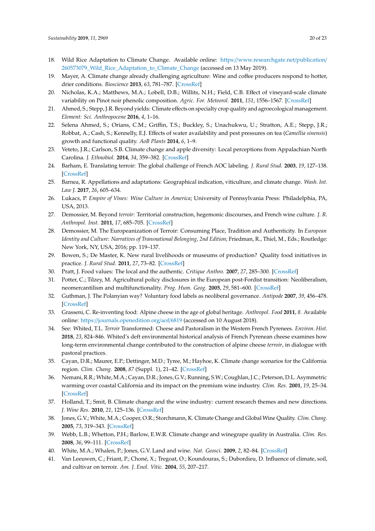- <span id="page-19-0"></span>18. Wild Rice Adaptation to Climate Change. Available online: https://[www.researchgate.net](https://www.researchgate.net/publication/260573079_Wild_Rice_Adaptation_to_Climate_Change)/publication/ [260573079\\_Wild\\_Rice\\_Adaptation\\_to\\_Climate\\_Change](https://www.researchgate.net/publication/260573079_Wild_Rice_Adaptation_to_Climate_Change) (accessed on 13 May 2019).
- <span id="page-19-1"></span>19. Mayer, A. Climate change already challenging agriculture: Wine and coffee producers respond to hotter, drier conditions. *Bioscience* **2013**, *63*, 781–787. [\[CrossRef\]](http://dx.doi.org/10.1525/bio.2013.63.10.2)
- <span id="page-19-2"></span>20. Nicholas, K.A.; Matthews, M.A.; Lobell, D.B.; Willits, N.H.; Field, C.B. Effect of vineyard-scale climate variability on Pinot noir phenolic composition. *Agric. For. Meteorol.* **2011**, *151*, 1556–1567. [\[CrossRef\]](http://dx.doi.org/10.1016/j.agrformet.2011.06.010)
- <span id="page-19-3"></span>21. Ahmed, S.; Stepp, J.R. Beyond yields: Climate effects on specialty crop quality and agroecological management. *Element: Sci. Anthropocene* **2016**, *4*, 1–16.
- <span id="page-19-4"></span>22. Selena Ahmed, S.; Orians, C.M.; Griffin, T.S.; Buckley, S.; Unachukwu, U.; Stratton, A.E.; Stepp, J.R.; Robbat, A.; Cash, S.; Kennelly, E.J. Effects of water availability and pest pressures on tea (*Camellia sinensis*) growth and functional quality. *AoB Plants* **2014**, *6*, 1–9.
- <span id="page-19-5"></span>23. Veteto, J.R.; Carlson, S.B. Climate change and apple diversity: Local perceptions from Appalachian North Carolina. *J. Ethnobiol.* **2014**, *34*, 359–382. [\[CrossRef\]](http://dx.doi.org/10.2993/0278-0771-34.3.359)
- <span id="page-19-6"></span>24. Barham, E. Translating terroir: The global challenge of French AOC labeling. *J. Rural Stud.* **2003**, *19*, 127–138. [\[CrossRef\]](http://dx.doi.org/10.1016/S0743-0167(02)00052-9)
- <span id="page-19-7"></span>25. Barnea, R. Appellations and adaptations: Geographical indication, viticulture, and climate change. *Wash. Int. Law J.* **2017**, *26*, 605–634.
- <span id="page-19-8"></span>26. Lukacs, P. *Empire of Vines: Wine Culture in America*; University of Pennsylvania Press: Philadelphia, PA, USA, 2013.
- <span id="page-19-9"></span>27. Demossier, M. Beyond *terroir*: Territorial construction, hegemonic discourses, and French wine culture. *J. R. Anthropol. Inst.* **2011**, *17*, 685–705. [\[CrossRef\]](http://dx.doi.org/10.1111/j.1467-9655.2011.01714.x)
- <span id="page-19-10"></span>28. Demossier, M. The Europeanization of Terroir: Consuming Place, Tradition and Authenticity. In *European Identity and Culture: Narratives of Transnational Belonging, 2nd Edition*; Friedman, R., Thiel, M., Eds.; Routledge: New York, NY, USA, 2016; pp. 119–137.
- <span id="page-19-11"></span>29. Bowen, S.; De Master, K. New rural livelihoods or museums of production? Quality food initiatives in practice. *J. Rural Stud.* **2011**, *27*, 73–82. [\[CrossRef\]](http://dx.doi.org/10.1016/j.jrurstud.2010.08.002)
- <span id="page-19-12"></span>30. Pratt, J. Food values: The local and the authentic. *Critique Anthro.* **2007**, *27*, 285–300. [\[CrossRef\]](http://dx.doi.org/10.1177/0308275X07080357)
- <span id="page-19-13"></span>31. Potter, C.; Tilzey, M. Agricultural policy disclosures in the European post-Fordist transition: Neoliberalism, neomercantilism and multifunctionality. *Prog. Hum. Geog.* **2005**, *29*, 581–600. [\[CrossRef\]](http://dx.doi.org/10.1191/0309132505ph569oa)
- <span id="page-19-14"></span>32. Guthman, J. The Polanyian way? Voluntary food labels as neoliberal governance. *Antipode* **2007**, *39*, 456–478. [\[CrossRef\]](http://dx.doi.org/10.1111/j.1467-8330.2007.00535.x)
- <span id="page-19-15"></span>33. Grasseni, C. Re-inventing food: Alpine cheese in the age of global heritage. *Anthropol. Food* **2011**, *8*. Available online: https://[journals.openedition.org](https://journals.openedition.org/aof/6819)/aof/6819 (accessed on 10 August 2018).
- <span id="page-19-16"></span>34. See: Whited, T.L. *Terroir* Transformed: Cheese and Pastoralism in the Western French Pyrenees. *Environ. Hist.* **2018**, *23*, 824–846. Whited's deft environmental historical analysis of French Pyrenean cheese examines how long-term environmental change contributed to the construction of alpine cheese *terroir*, in dialogue with pastoral practices.
- <span id="page-19-17"></span>35. Cayan, D.R.; Maurer, E.P.; Dettinger, M.D.; Tyree, M.; Hayhoe, K. Climate change scenarios for the California region. *Clim. Chang.* **2008**, *87* (Suppl. 1), 21–42. [\[CrossRef\]](http://dx.doi.org/10.1007/s10584-007-9377-6)
- <span id="page-19-18"></span>36. Nemani, R.R.; White, M.A.; Cayan, D.R.; Jones, G.V.; Running, S.W.; Coughlan, J.C.; Peterson, D.L. Asymmetric warming over coastal California and its impact on the premium wine industry. *Clim. Res.* **2001**, *19*, 25–34. [\[CrossRef\]](http://dx.doi.org/10.3354/cr019025)
- <span id="page-19-19"></span>37. Holland, T.; Smit, B. Climate change and the wine industry: current research themes and new directions. *J. Wine Res.* **2010**, *21*, 125–136. [\[CrossRef\]](http://dx.doi.org/10.1080/09571264.2010.530095)
- <span id="page-19-20"></span>38. Jones, G.V.; White, M.A.; Cooper, O.R.; Storchmann, K. Climate Change and Global Wine Quality. *Clim. Chang.* **2005**, *73*, 319–343. [\[CrossRef\]](http://dx.doi.org/10.1007/s10584-005-4704-2)
- 39. Webb, L.B.; Whetton, P.H.; Barlow, E.W.R. Climate change and winegrape quality in Australia. *Clim. Res.* **2008**, *36*, 99–111. [\[CrossRef\]](http://dx.doi.org/10.3354/cr00740)
- <span id="page-19-21"></span>40. White, M.A.; Whalen, P.; Jones, G.V. Land and wine. *Nat. Geosci.* **2009**, *2*, 82–84. [\[CrossRef\]](http://dx.doi.org/10.1038/ngeo429)
- <span id="page-19-22"></span>41. Van Leeuwen, C.; Friant, P.; Choné, X.; Tregoat, O.; Koundouras, S.; Dubordieu, D. Influence of climate, soil, and cultivar on terroir. *Am. J. Enol. Vitic.* **2004**, *55*, 207–217.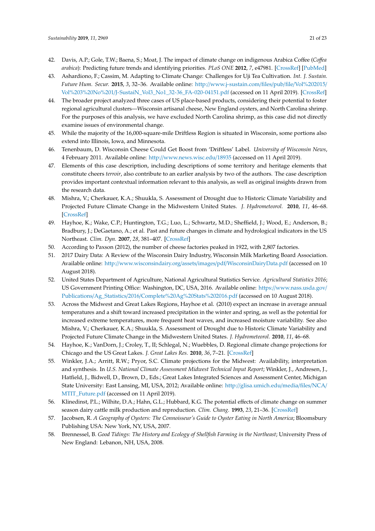- <span id="page-20-0"></span>42. Davis, A.P.; Gole, T.W.; Baena, S.; Moat, J. The impact of climate change on indigenous Arabica Coffee (*Co*ff*ea arabica*): Predicting future trends and identifying priorities. *PLoS ONE* **2012**, *7*, e47981. [\[CrossRef\]](http://dx.doi.org/10.1371/journal.pone.0047981) [\[PubMed\]](http://www.ncbi.nlm.nih.gov/pubmed/23144840)
- <span id="page-20-1"></span>43. Ashardiono, F.; Cassim, M. Adapting to Climate Change: Challenges for Uji Tea Cultivation. *Int. J. Sustain. Future Hum. Secur.* **2015**, *3*, 32–36. Available online: http://[www.j-sustain.com](http://www.j-sustain.com/files/pub/file/Vol%202015/Vol%203%20No%201/J-SustaiN_Vol3_No1_32-36_FA-020-04151.pdf)/files/pub/file/Vol%202015/ Vol%203%20No%201/[J-SustaiN\\_Vol3\\_No1\\_32-36\\_FA-020-04151.pdf](http://www.j-sustain.com/files/pub/file/Vol%202015/Vol%203%20No%201/J-SustaiN_Vol3_No1_32-36_FA-020-04151.pdf) (accessed on 11 April 2019). [\[CrossRef\]](http://dx.doi.org/10.24910/jsustain/3.1/3236)
- <span id="page-20-2"></span>44. The broader project analyzed three cases of US place-based products, considering their potential to foster regional agricultural clusters—Wisconsin artisanal cheese, New England oysters, and North Carolina shrimp. For the purposes of this analysis, we have excluded North Carolina shrimp, as this case did not directly examine issues of environmental change.
- <span id="page-20-3"></span>45. While the majority of the 16,000-square-mile Driftless Region is situated in Wisconsin, some portions also extend into Illinois, Iowa, and Minnesota.
- <span id="page-20-4"></span>46. Tenenbaum, D. Wisconsin Cheese Could Get Boost from 'Driftless' Label. *University of Wisconsin News*, 4 February 2011. Available online: http://[www.news.wisc.edu](http://www.news.wisc.edu/18935)/18935 (accessed on 11 April 2019).
- <span id="page-20-5"></span>47. Elements of this case description, including descriptions of some territory and heritage elements that constitute cheers *terroir*, also contribute to an earlier analysis by two of the authors. The case description provides important contextual information relevant to this analysis, as well as original insights drawn from the research data.
- <span id="page-20-6"></span>48. Mishra, V.; Cherkauer, K.A.; Shuukla, S. Assessment of Drought due to Historic Climate Variability and Projected Future Climate Change in the Midwestern United States. *J. Hydrometeorol.* **2010**, *11*, 46–68. [\[CrossRef\]](http://dx.doi.org/10.1175/2009JHM1156.1)
- <span id="page-20-7"></span>49. Hayhoe, K.; Wake, C.P.; Huntington, T.G.; Luo, L.; Schwartz, M.D.; Sheffield, J.; Wood, E.; Anderson, B.; Bradbury, J.; DeGaetano, A.; et al. Past and future changes in climate and hydrological indicators in the US Northeast. *Clim. Dyn.* **2007**, *28*, 381–407. [\[CrossRef\]](http://dx.doi.org/10.1007/s00382-006-0187-8)
- <span id="page-20-8"></span>50. According to Paxson (2012), the number of cheese factories peaked in 1922, with 2,807 factories.
- <span id="page-20-9"></span>51. 2017 Dairy Data: A Review of the Wisconsin Dairy Industry, Wisconsin Milk Marketing Board Association. Available online: http://[www.wisconsindairy.org](http://www.wisconsindairy.org/assets/images/pdf/WisconsinDairyData.pdf)/assets/images/pdf/WisconsinDairyData.pdf (accessed on 10 August 2018).
- <span id="page-20-10"></span>52. United States Department of Agriculture, National Agricultural Statistics Service. *Agricultural Statistics 2016*; US Government Printing Office: Washington, DC, USA, 2016. Available online: https://[www.nass.usda.gov](https://www.nass.usda.gov/Publications/Ag_Statistics/2016/Complete%20Ag%20Stats%202016.pdf)/ Publications/Ag\_Statistics/2016/[Complete%20Ag%20Stats%202016.pdf](https://www.nass.usda.gov/Publications/Ag_Statistics/2016/Complete%20Ag%20Stats%202016.pdf) (accessed on 10 August 2018).
- <span id="page-20-11"></span>53. Across the Midwest and Great Lakes Regions, Hayhoe et al. (2010) expect an increase in average annual temperatures and a shift toward increased precipitation in the winter and spring, as well as the potential for increased extreme temperatures, more frequent heat waves, and increased moisture variability. See also Mishra, V.; Cherkauer, K.A.; Shuukla, S. Assessment of Drought due to Historic Climate Variability and Projected Future Climate Change in the Midwestern United States. *J. Hydrometeorol.* **2010**, *11*, 46–68.
- <span id="page-20-12"></span>54. Hayhoe, K.; VanDorn, J.; Croley, T., II; Schlegal, N.; Wuebbles, D. Regional climate change projections for Chicago and the US Great Lakes. *J. Great Lakes Res.* **2010**, *36*, 7–21. [\[CrossRef\]](http://dx.doi.org/10.1016/j.jglr.2010.03.012)
- <span id="page-20-13"></span>55. Winkler, J.A.; Arritt, R.W.; Pryor, S.C. Climate projections for the Midwest: Availability, interpretation and synthesis. In *U.S. National Climate Assessment Midwest Technical Input Report*; Winkler, J., Andresen, J., Hatfield, J., Bidwell, D., Brown, D., Eds.; Great Lakes Integrated Sciences and Assessment Center, Michigan State University: East Lansing, MI, USA, 2012; Available online: http://[glisa.umich.edu](http://glisa.umich.edu/media/files/NCA/MTIT_Future.pdf)/media/files/NCA/ [MTIT\\_Future.pdf](http://glisa.umich.edu/media/files/NCA/MTIT_Future.pdf) (accessed on 11 April 2019).
- <span id="page-20-14"></span>56. Klinedinst, P.L.; Wilhite, D.A.; Hahn, G.L.; Hubbard, K.G. The potential effects of climate change on summer season dairy cattle milk production and reproduction. *Clim. Chang.* **1993**, *23*, 21–36. [\[CrossRef\]](http://dx.doi.org/10.1007/BF01092679)
- <span id="page-20-15"></span>57. Jacobsen, R. *A Geography of Oysters: The Connoisseur's Guide to Oyster Eating in North America*; Bloomsbury Publishing USA: New York, NY, USA, 2007.
- <span id="page-20-16"></span>58. Brennessel, B. *Good Tidings: The History and Ecology of Shellfish Farming in the Northeast*; University Press of New England: Lebanon, NH, USA, 2008.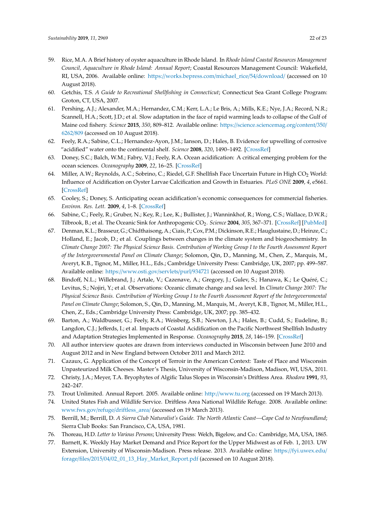- <span id="page-21-0"></span>59. Rice, M.A. A Brief history of oyster aquaculture in Rhode Island. In *Rhode Island Coastal Resources Management Council, Aquaculture in Rhode Island: Annual Report*; Coastal Resources Management Council: Wakefield, RI, USA, 2006. Available online: https://[works.bepress.com](https://works.bepress.com/michael_rice/54/download/)/michael\_rice/54/download/ (accessed on 10 August 2018).
- <span id="page-21-1"></span>60. Getchis, T.S. *A Guide to Recreational Shellfishing in Connecticut*; Connecticut Sea Grant College Program: Groton, CT, USA, 2007.
- <span id="page-21-2"></span>61. Pershing, A.J.; Alexander, M.A.; Hernandez, C.M.; Kerr, L.A.; Le Bris, A.; Mills, K.E.; Nye, J.A.; Record, N.R.; Scannell, H.A.; Scott, J.D.; et al. Slow adaptation in the face of rapid warming leads to collapse of the Gulf of Maine cod fishery. *Science* **2015**, *350*, 809–812. Available online: https://[science.sciencemag.org](https://science.sciencemag.org/content/350/6262/809)/content/350/ [6262](https://science.sciencemag.org/content/350/6262/809)/809 (accessed on 10 August 2018).
- <span id="page-21-3"></span>62. Feely, R.A.; Sabine, C.L.; Hernandez-Ayon, J.M.; Ianson, D.; Hales, B. Evidence for upwelling of corrosive "acidified" water onto the continental shelf. *Science* **2008**, *320*, 1490–1492. [\[CrossRef\]](http://dx.doi.org/10.1126/science.1155676)
- <span id="page-21-4"></span>63. Doney, S.C.; Balch, W.M.; Fabry, V.J.; Feely, R.A. Ocean acidification: A critical emerging problem for the ocean sciences. *Oceanography* **2009**, *22*, 16–25. [\[CrossRef\]](http://dx.doi.org/10.5670/oceanog.2009.93)
- <span id="page-21-5"></span>64. Miller, A.W.; Reynolds, A.C.; Sobrino, C.; Riedel, G.F. Shellfish Face Uncertain Future in High CO<sub>2</sub> World: Influence of Acidification on Oyster Larvae Calcification and Growth in Estuaries. *PLoS ONE* **2009**, *4*, e5661. [\[CrossRef\]](http://dx.doi.org/10.1371/journal.pone.0005661)
- <span id="page-21-6"></span>65. Cooley, S.; Doney, S. Anticipating ocean acidification's economic consequences for commercial fisheries. *Environ. Res. Lett.* **2009**, *4*, 1–8. [\[CrossRef\]](http://dx.doi.org/10.1088/1748-9326/4/2/024007)
- 66. Sabine, C.; Feely, R.; Gruber, N.; Key, R.; Lee, K.; Bullister, J.; Wanninkhof, R.; Wong, C.S.; Wallace, D.W.R.; Tilbrook, B.; et al. The Oceanic Sink for Anthropogenic CO<sup>2</sup> . *Science* **2004**, *305*, 367–371. [\[CrossRef\]](http://dx.doi.org/10.1126/science.1097403) [\[PubMed\]](http://www.ncbi.nlm.nih.gov/pubmed/15256665)
- <span id="page-21-7"></span>67. Denman, K.L.; Brasseur, G.; Chidthaisong, A.; Ciais, P.; Cox, P.M.; Dickinson, R.E.; Hauglustaine, D.; Heinze, C.; Holland, E.; Jacob, D.; et al. Couplings between changes in the climate system and biogeochemistry. In *Climate Change 2007: The Physical Science Basis. Contribution of Working Group I to the Fourth Assessment Report of the Intergovernmental Panel on Climate Change*; Solomon, Qin, D., Manning, M., Chen, Z., Marquis, M., Averyt, K.B., Tignor, M., Miller, H.L., Eds.; Cambridge University Press: Cambridge, UK, 2007; pp. 499–587. Available online: https://[www.osti.gov](https://www.osti.gov/servlets/purl/934721)/servlets/purl/934721 (accessed on 10 August 2018).
- <span id="page-21-8"></span>68. Bindoff, N.L.; Willebrand, J.; Artale, V.; Cazenave, A.; Gregory, J.; Gulev, S.; Hanawa, K.; Le Quéré, C.; Levitus, S.; Nojiri, Y.; et al. Observations: Oceanic climate change and sea level. In *Climate Change 2007: The Physical Science Basis. Contribution of Working Group I to the Fourth Assessment Report of the Intergovernmental Panel on Climate Change*; Solomon, S., Qin, D., Manning, M., Marquis, M., Averyt, K.B., Tignor, M., Miller, H.L., Chen, Z., Eds.; Cambridge University Press: Cambridge, UK, 2007; pp. 385–432.
- <span id="page-21-9"></span>69. Barton, A.; Waldbusser, G.; Feely, R.A.; Weisberg, S.B.; Newton, J.A.; Hales, B.; Cudd, S.; Eudeline, B.; Langdon, C.J.; Jefferds, I.; et al. Impacts of Coastal Acidification on the Pacific Northwest Shellfish Industry and Adaptation Strategies Implemented in Response. *Oceanography* **2015**, *28*, 146–159. [\[CrossRef\]](http://dx.doi.org/10.5670/oceanog.2015.38)
- <span id="page-21-10"></span>70. All author interview quotes are drawn from interviews conducted in Wisconsin between June 2010 and August 2012 and in New England between October 2011 and March 2012.
- <span id="page-21-11"></span>71. Cazaux, G. Application of the Concept of Terroir in the American Context: Taste of Place and Wisconsin Unpasteurized Milk Cheeses. Master's Thesis, University of Wisconsin-Madison, Madison, WI, USA, 2011.
- <span id="page-21-12"></span>72. Christy, J.A.; Meyer, T.A. Bryophytes of Algific Talus Slopes in Wisconsin's Driftless Area. *Rhodora* **1991**, *93*, 242–247.
- 73. Trout Unlimited. Annual Report. 2005. Available online: http://[www.tu.org](http://www.tu.org) (accessed on 19 March 2013).
- <span id="page-21-13"></span>74. United States Fish and Wildlife Service. Driftless Area National Wildlife Refuge. 2008. Available online: [www.fws.gov](www.fws.gov/refuge/driftless_area/)/refuge/driftless\_area/ (accessed on 19 March 2013).
- <span id="page-21-14"></span>75. Berrill, M.; Berrill, D. *A Sierra Club Naturalist's Guide. The North Atlantic Coast—Cape Cod to Newfoundland*; Sierra Club Books: San Francisco, CA, USA, 1981.
- <span id="page-21-15"></span>76. Thoreau, H.D. *Letter to Various Persons*; University Press: Welch, Bigelow, and Co.: Cambridge, MA, USA, 1865.
- <span id="page-21-16"></span>77. Barnett, K. Weekly Hay Market Demand and Price Report for the Upper Midwest as of Feb. 1, 2013. UW Extension, University of Wisconsin-Madison. Press release. 2013. Available online: https://[fyi.uwex.edu](https://fyi.uwex.edu/forage/files/2015/04/02_01_13_Hay_Market_Report.pdf)/ forage/files/2015/04/[02\\_01\\_13\\_Hay\\_Market\\_Report.pdf](https://fyi.uwex.edu/forage/files/2015/04/02_01_13_Hay_Market_Report.pdf) (accessed on 10 August 2018).